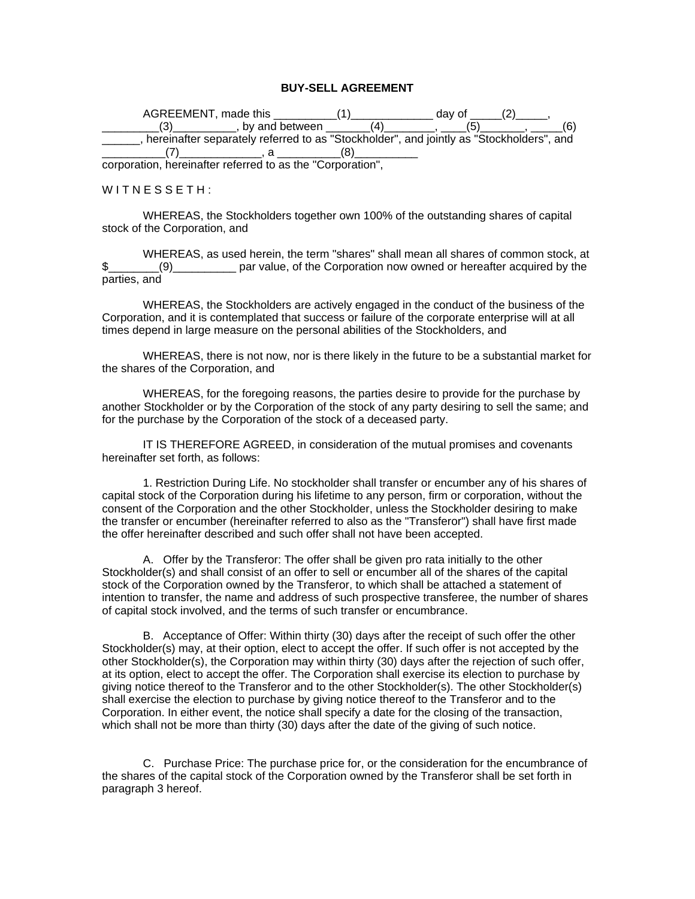## **BUY-SELL AGREEMENT**

| AGREEMENT, made this                                                                    |    | dav of |  |
|-----------------------------------------------------------------------------------------|----|--------|--|
| . by and between                                                                        | ′4 |        |  |
| hereinafter separately referred to as "Stockholder", and jointly as "Stockholders", and |    |        |  |
|                                                                                         |    |        |  |
| corporation berginatter referred to as the "Corporation"                                |    |        |  |

corporation, hereinafter referred to as the "Corporation",

## $W$  I T N E S S E T H :

WHEREAS, the Stockholders together own 100% of the outstanding shares of capital stock of the Corporation, and

WHEREAS, as used herein, the term "shares" shall mean all shares of common stock, at \$\_\_\_\_\_\_\_\_(9)\_\_\_\_\_\_\_\_\_\_ par value, of the Corporation now owned or hereafter acquired by the parties, and

WHEREAS, the Stockholders are actively engaged in the conduct of the business of the Corporation, and it is contemplated that success or failure of the corporate enterprise will at all times depend in large measure on the personal abilities of the Stockholders, and

WHEREAS, there is not now, nor is there likely in the future to be a substantial market for the shares of the Corporation, and

WHEREAS, for the foregoing reasons, the parties desire to provide for the purchase by another Stockholder or by the Corporation of the stock of any party desiring to sell the same; and for the purchase by the Corporation of the stock of a deceased party.

IT IS THEREFORE AGREED, in consideration of the mutual promises and covenants hereinafter set forth, as follows:

1. Restriction During Life. No stockholder shall transfer or encumber any of his shares of capital stock of the Corporation during his lifetime to any person, firm or corporation, without the consent of the Corporation and the other Stockholder, unless the Stockholder desiring to make the transfer or encumber (hereinafter referred to also as the "Transferor") shall have first made the offer hereinafter described and such offer shall not have been accepted.

A. Offer by the Transferor: The offer shall be given pro rata initially to the other Stockholder(s) and shall consist of an offer to sell or encumber all of the shares of the capital stock of the Corporation owned by the Transferor, to which shall be attached a statement of intention to transfer, the name and address of such prospective transferee, the number of shares of capital stock involved, and the terms of such transfer or encumbrance.

B. Acceptance of Offer: Within thirty (30) days after the receipt of such offer the other Stockholder(s) may, at their option, elect to accept the offer. If such offer is not accepted by the other Stockholder(s), the Corporation may within thirty (30) days after the rejection of such offer, at its option, elect to accept the offer. The Corporation shall exercise its election to purchase by giving notice thereof to the Transferor and to the other Stockholder(s). The other Stockholder(s) shall exercise the election to purchase by giving notice thereof to the Transferor and to the Corporation. In either event, the notice shall specify a date for the closing of the transaction, which shall not be more than thirty (30) days after the date of the giving of such notice.

C. Purchase Price: The purchase price for, or the consideration for the encumbrance of the shares of the capital stock of the Corporation owned by the Transferor shall be set forth in paragraph 3 hereof.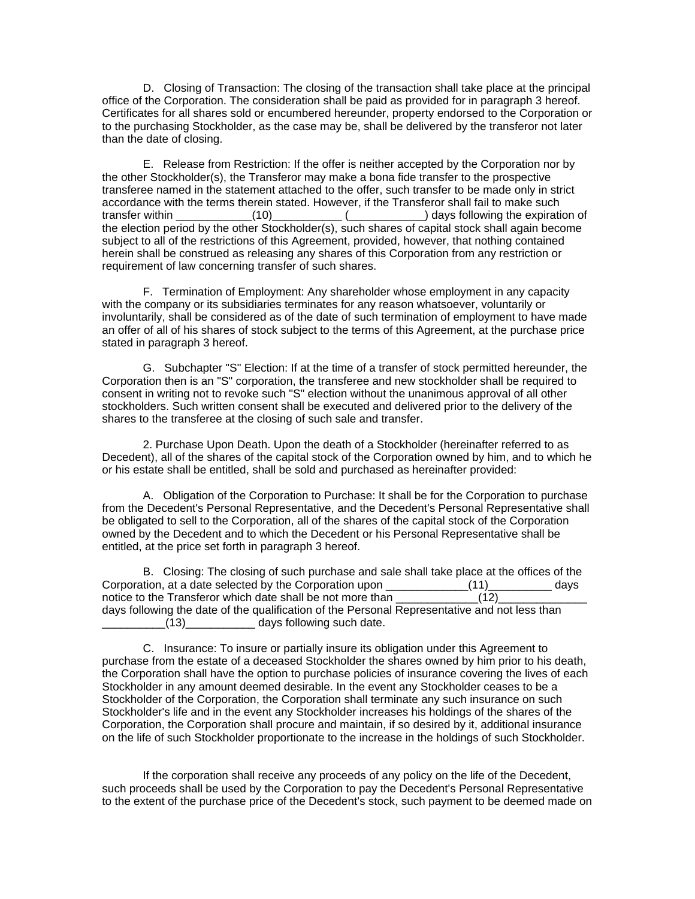D. Closing of Transaction: The closing of the transaction shall take place at the principal office of the Corporation. The consideration shall be paid as provided for in paragraph 3 hereof. Certificates for all shares sold or encumbered hereunder, property endorsed to the Corporation or to the purchasing Stockholder, as the case may be, shall be delivered by the transferor not later than the date of closing.

E. Release from Restriction: If the offer is neither accepted by the Corporation nor by the other Stockholder(s), the Transferor may make a bona fide transfer to the prospective transferee named in the statement attached to the offer, such transfer to be made only in strict accordance with the terms therein stated. However, if the Transferor shall fail to make such transfer within \_\_\_\_\_\_\_\_\_\_\_\_(10)\_\_\_\_\_\_\_\_\_\_\_ (\_\_\_\_\_\_\_\_\_\_\_\_) days following the expiration of the election period by the other Stockholder(s), such shares of capital stock shall again become subject to all of the restrictions of this Agreement, provided, however, that nothing contained herein shall be construed as releasing any shares of this Corporation from any restriction or requirement of law concerning transfer of such shares.

F. Termination of Employment: Any shareholder whose employment in any capacity with the company or its subsidiaries terminates for any reason whatsoever, voluntarily or involuntarily, shall be considered as of the date of such termination of employment to have made an offer of all of his shares of stock subject to the terms of this Agreement, at the purchase price stated in paragraph 3 hereof.

G. Subchapter "S" Election: If at the time of a transfer of stock permitted hereunder, the Corporation then is an "S" corporation, the transferee and new stockholder shall be required to consent in writing not to revoke such "S" election without the unanimous approval of all other stockholders. Such written consent shall be executed and delivered prior to the delivery of the shares to the transferee at the closing of such sale and transfer.

2. Purchase Upon Death. Upon the death of a Stockholder (hereinafter referred to as Decedent), all of the shares of the capital stock of the Corporation owned by him, and to which he or his estate shall be entitled, shall be sold and purchased as hereinafter provided:

A. Obligation of the Corporation to Purchase: It shall be for the Corporation to purchase from the Decedent's Personal Representative, and the Decedent's Personal Representative shall be obligated to sell to the Corporation, all of the shares of the capital stock of the Corporation owned by the Decedent and to which the Decedent or his Personal Representative shall be entitled, at the price set forth in paragraph 3 hereof.

B. Closing: The closing of such purchase and sale shall take place at the offices of the Corporation, at a date selected by the Corporation upon  $(11)$  days notice to the Transferor which date shall be not more than  $(12)$ days following the date of the qualification of the Personal Representative and not less than (13) days following such date.

C. Insurance: To insure or partially insure its obligation under this Agreement to purchase from the estate of a deceased Stockholder the shares owned by him prior to his death, the Corporation shall have the option to purchase policies of insurance covering the lives of each Stockholder in any amount deemed desirable. In the event any Stockholder ceases to be a Stockholder of the Corporation, the Corporation shall terminate any such insurance on such Stockholder's life and in the event any Stockholder increases his holdings of the shares of the Corporation, the Corporation shall procure and maintain, if so desired by it, additional insurance on the life of such Stockholder proportionate to the increase in the holdings of such Stockholder.

If the corporation shall receive any proceeds of any policy on the life of the Decedent, such proceeds shall be used by the Corporation to pay the Decedent's Personal Representative to the extent of the purchase price of the Decedent's stock, such payment to be deemed made on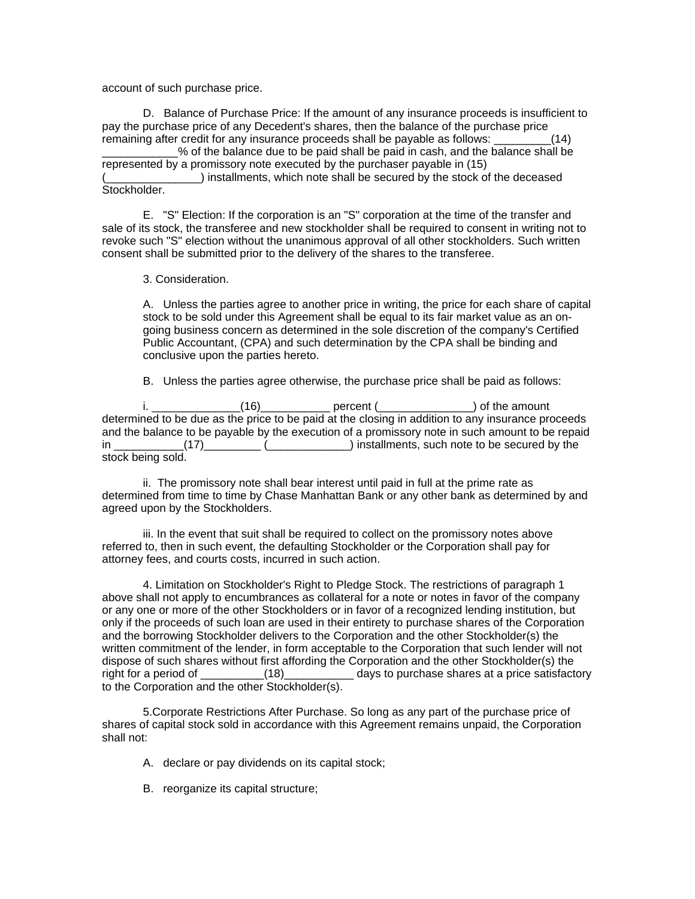account of such purchase price.

D. Balance of Purchase Price: If the amount of any insurance proceeds is insufficient to pay the purchase price of any Decedent's shares, then the balance of the purchase price remaining after credit for any insurance proceeds shall be payable as follows: \_\_\_\_\_\_\_\_\_(14)

\_\_\_\_\_\_\_\_\_\_\_\_% of the balance due to be paid shall be paid in cash, and the balance shall be represented by a promissory note executed by the purchaser payable in (15) (2) installments, which note shall be secured by the stock of the deceased Stockholder.

E. "S" Election: If the corporation is an "S" corporation at the time of the transfer and sale of its stock, the transferee and new stockholder shall be required to consent in writing not to revoke such "S" election without the unanimous approval of all other stockholders. Such written consent shall be submitted prior to the delivery of the shares to the transferee.

3. Consideration.

A. Unless the parties agree to another price in writing, the price for each share of capital stock to be sold under this Agreement shall be equal to its fair market value as an ongoing business concern as determined in the sole discretion of the company's Certified Public Accountant, (CPA) and such determination by the CPA shall be binding and conclusive upon the parties hereto.

B. Unless the parties agree otherwise, the purchase price shall be paid as follows:

 $(16)$   $(16)$   $(16)$   $(16)$   $(16)$   $(16)$   $(16)$   $(16)$   $(16)$   $(16)$   $(16)$   $(16)$   $(16)$   $(16)$   $(16)$   $(16)$   $(16)$   $(16)$   $(16)$   $(16)$   $(16)$   $(16)$   $(16)$   $(16)$   $(16)$   $(16)$   $(16)$   $(16)$   $(16)$   $(16)$   $(16)$   $(16$ determined to be due as the price to be paid at the closing in addition to any insurance proceeds and the balance to be payable by the execution of a promissory note in such amount to be repaid in \_\_\_\_\_\_\_\_\_\_\_(17)\_\_\_\_\_\_\_\_\_ (\_\_\_\_\_\_\_\_\_\_\_\_\_) installments, such note to be secured by the stock being sold.

ii. The promissory note shall bear interest until paid in full at the prime rate as determined from time to time by Chase Manhattan Bank or any other bank as determined by and agreed upon by the Stockholders.

iii. In the event that suit shall be required to collect on the promissory notes above referred to, then in such event, the defaulting Stockholder or the Corporation shall pay for attorney fees, and courts costs, incurred in such action.

4. Limitation on Stockholder's Right to Pledge Stock. The restrictions of paragraph 1 above shall not apply to encumbrances as collateral for a note or notes in favor of the company or any one or more of the other Stockholders or in favor of a recognized lending institution, but only if the proceeds of such loan are used in their entirety to purchase shares of the Corporation and the borrowing Stockholder delivers to the Corporation and the other Stockholder(s) the written commitment of the lender, in form acceptable to the Corporation that such lender will not dispose of such shares without first affording the Corporation and the other Stockholder(s) the right for a period of  $(18)$  days to purchase shares at a price satisfactory to the Corporation and the other Stockholder(s).

5.Corporate Restrictions After Purchase. So long as any part of the purchase price of shares of capital stock sold in accordance with this Agreement remains unpaid, the Corporation shall not:

- A. declare or pay dividends on its capital stock;
- B. reorganize its capital structure;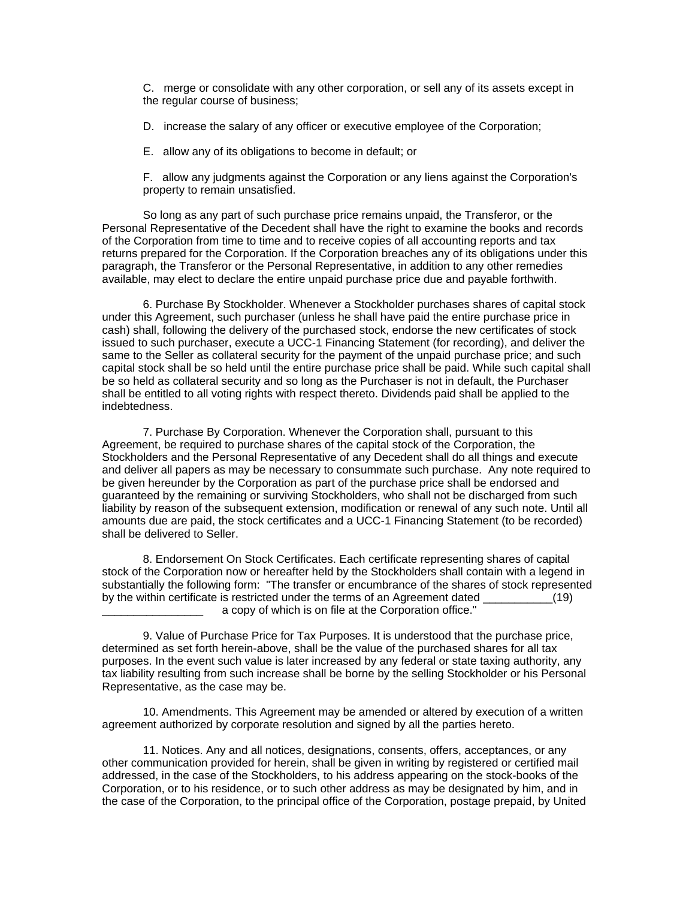C. merge or consolidate with any other corporation, or sell any of its assets except in the regular course of business;

D. increase the salary of any officer or executive employee of the Corporation;

E. allow any of its obligations to become in default; or

F. allow any judgments against the Corporation or any liens against the Corporation's property to remain unsatisfied.

So long as any part of such purchase price remains unpaid, the Transferor, or the Personal Representative of the Decedent shall have the right to examine the books and records of the Corporation from time to time and to receive copies of all accounting reports and tax returns prepared for the Corporation. If the Corporation breaches any of its obligations under this paragraph, the Transferor or the Personal Representative, in addition to any other remedies available, may elect to declare the entire unpaid purchase price due and payable forthwith.

6. Purchase By Stockholder. Whenever a Stockholder purchases shares of capital stock under this Agreement, such purchaser (unless he shall have paid the entire purchase price in cash) shall, following the delivery of the purchased stock, endorse the new certificates of stock issued to such purchaser, execute a UCC-1 Financing Statement (for recording), and deliver the same to the Seller as collateral security for the payment of the unpaid purchase price; and such capital stock shall be so held until the entire purchase price shall be paid. While such capital shall be so held as collateral security and so long as the Purchaser is not in default, the Purchaser shall be entitled to all voting rights with respect thereto. Dividends paid shall be applied to the indebtedness.

7. Purchase By Corporation. Whenever the Corporation shall, pursuant to this Agreement, be required to purchase shares of the capital stock of the Corporation, the Stockholders and the Personal Representative of any Decedent shall do all things and execute and deliver all papers as may be necessary to consummate such purchase. Any note required to be given hereunder by the Corporation as part of the purchase price shall be endorsed and guaranteed by the remaining or surviving Stockholders, who shall not be discharged from such liability by reason of the subsequent extension, modification or renewal of any such note. Until all amounts due are paid, the stock certificates and a UCC-1 Financing Statement (to be recorded) shall be delivered to Seller.

8. Endorsement On Stock Certificates. Each certificate representing shares of capital stock of the Corporation now or hereafter held by the Stockholders shall contain with a legend in substantially the following form: "The transfer or encumbrance of the shares of stock represented by the within certificate is restricted under the terms of an Agreement dated  $(19)$ a copy of which is on file at the Corporation office."

9. Value of Purchase Price for Tax Purposes. It is understood that the purchase price, determined as set forth herein-above, shall be the value of the purchased shares for all tax purposes. In the event such value is later increased by any federal or state taxing authority, any tax liability resulting from such increase shall be borne by the selling Stockholder or his Personal Representative, as the case may be.

10. Amendments. This Agreement may be amended or altered by execution of a written agreement authorized by corporate resolution and signed by all the parties hereto.

11. Notices. Any and all notices, designations, consents, offers, acceptances, or any other communication provided for herein, shall be given in writing by registered or certified mail addressed, in the case of the Stockholders, to his address appearing on the stock-books of the Corporation, or to his residence, or to such other address as may be designated by him, and in the case of the Corporation, to the principal office of the Corporation, postage prepaid, by United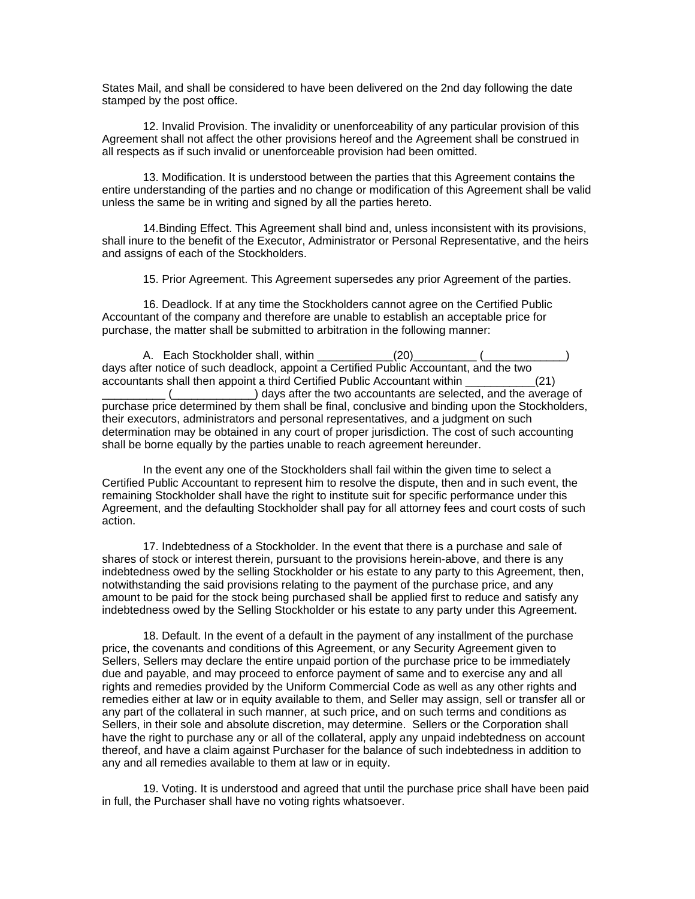States Mail, and shall be considered to have been delivered on the 2nd day following the date stamped by the post office.

12. Invalid Provision. The invalidity or unenforceability of any particular provision of this Agreement shall not affect the other provisions hereof and the Agreement shall be construed in all respects as if such invalid or unenforceable provision had been omitted.

13. Modification. It is understood between the parties that this Agreement contains the entire understanding of the parties and no change or modification of this Agreement shall be valid unless the same be in writing and signed by all the parties hereto.

14.Binding Effect. This Agreement shall bind and, unless inconsistent with its provisions, shall inure to the benefit of the Executor, Administrator or Personal Representative, and the heirs and assigns of each of the Stockholders.

15. Prior Agreement. This Agreement supersedes any prior Agreement of the parties.

16. Deadlock. If at any time the Stockholders cannot agree on the Certified Public Accountant of the company and therefore are unable to establish an acceptable price for purchase, the matter shall be submitted to arbitration in the following manner:

A. Each Stockholder shall, within  $(20)$ days after notice of such deadlock, appoint a Certified Public Accountant, and the two accountants shall then appoint a third Certified Public Accountant within \_\_\_\_\_\_\_\_\_\_\_(21)  $\Box$ ) days after the two accountants are selected, and the average of purchase price determined by them shall be final, conclusive and binding upon the Stockholders, their executors, administrators and personal representatives, and a judgment on such determination may be obtained in any court of proper jurisdiction. The cost of such accounting shall be borne equally by the parties unable to reach agreement hereunder.

In the event any one of the Stockholders shall fail within the given time to select a Certified Public Accountant to represent him to resolve the dispute, then and in such event, the remaining Stockholder shall have the right to institute suit for specific performance under this Agreement, and the defaulting Stockholder shall pay for all attorney fees and court costs of such action.

17. Indebtedness of a Stockholder. In the event that there is a purchase and sale of shares of stock or interest therein, pursuant to the provisions herein-above, and there is any indebtedness owed by the selling Stockholder or his estate to any party to this Agreement, then, notwithstanding the said provisions relating to the payment of the purchase price, and any amount to be paid for the stock being purchased shall be applied first to reduce and satisfy any indebtedness owed by the Selling Stockholder or his estate to any party under this Agreement.

18. Default. In the event of a default in the payment of any installment of the purchase price, the covenants and conditions of this Agreement, or any Security Agreement given to Sellers, Sellers may declare the entire unpaid portion of the purchase price to be immediately due and payable, and may proceed to enforce payment of same and to exercise any and all rights and remedies provided by the Uniform Commercial Code as well as any other rights and remedies either at law or in equity available to them, and Seller may assign, sell or transfer all or any part of the collateral in such manner, at such price, and on such terms and conditions as Sellers, in their sole and absolute discretion, may determine. Sellers or the Corporation shall have the right to purchase any or all of the collateral, apply any unpaid indebtedness on account thereof, and have a claim against Purchaser for the balance of such indebtedness in addition to any and all remedies available to them at law or in equity.

19. Voting. It is understood and agreed that until the purchase price shall have been paid in full, the Purchaser shall have no voting rights whatsoever.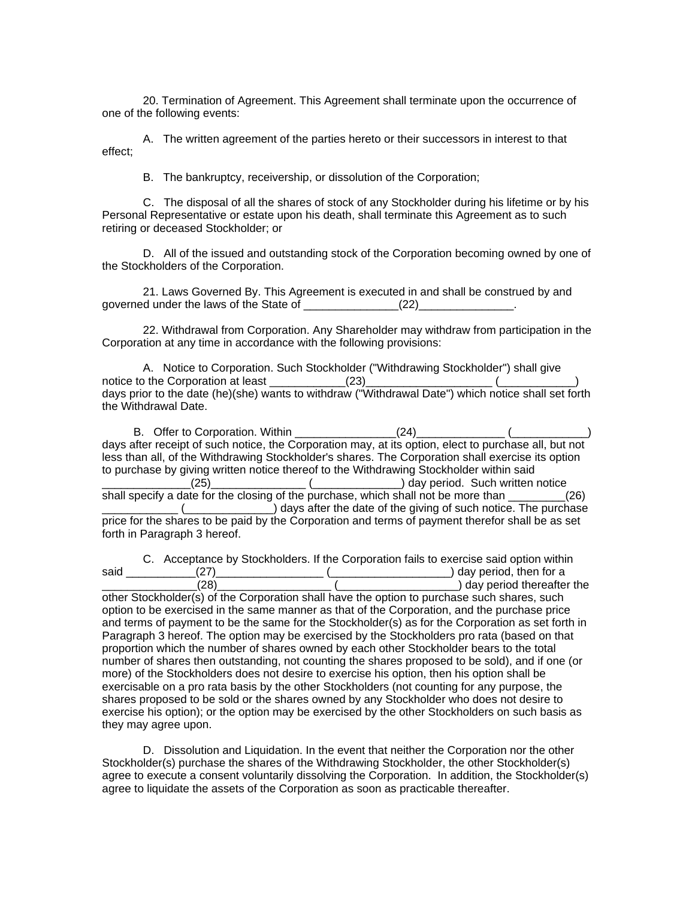20. Termination of Agreement. This Agreement shall terminate upon the occurrence of one of the following events:

A. The written agreement of the parties hereto or their successors in interest to that effect;

B. The bankruptcy, receivership, or dissolution of the Corporation;

C. The disposal of all the shares of stock of any Stockholder during his lifetime or by his Personal Representative or estate upon his death, shall terminate this Agreement as to such retiring or deceased Stockholder; or

D. All of the issued and outstanding stock of the Corporation becoming owned by one of the Stockholders of the Corporation.

21. Laws Governed By. This Agreement is executed in and shall be construed by and governed under the laws of the State of \_\_\_\_\_\_\_\_\_\_\_\_\_\_\_\_(22)\_\_\_\_\_\_\_\_\_\_\_\_\_\_.

22. Withdrawal from Corporation. Any Shareholder may withdraw from participation in the Corporation at any time in accordance with the following provisions:

A. Notice to Corporation. Such Stockholder ("Withdrawing Stockholder") shall give notice to the Corporation at least \_\_\_\_\_\_\_\_\_\_\_\_(23)\_\_\_\_\_\_\_\_\_\_\_\_\_\_\_\_\_\_\_\_ (\_\_\_\_\_\_\_\_\_\_\_\_) days prior to the date (he)(she) wants to withdraw ("Withdrawal Date") which notice shall set forth the Withdrawal Date.

 B. Offer to Corporation. Within \_\_\_\_\_\_\_\_\_\_\_\_\_\_\_\_(24)\_\_\_\_\_\_\_\_\_\_\_\_\_\_ (\_\_\_\_\_\_\_\_\_\_\_\_) days after receipt of such notice, the Corporation may, at its option, elect to purchase all, but not less than all, of the Withdrawing Stockholder's shares. The Corporation shall exercise its option to purchase by giving written notice thereof to the Withdrawing Stockholder within said \_\_\_\_\_\_\_\_\_\_\_\_\_\_(25)\_\_\_\_\_\_\_\_\_\_\_\_\_\_\_ (\_\_\_\_\_\_\_\_\_\_\_\_\_\_) day period. Such written notice shall specify a date for the closing of the purchase, which shall not be more than \_\_\_\_\_\_\_\_\_(26) Letter the date of the giving of such notice. The purchase (Letter Letter Letter 20) days after the date of the giving of such notice. The purchase price for the shares to be paid by the Corporation and terms of payment therefor shall be as set forth in Paragraph 3 hereof.

C. Acceptance by Stockholders. If the Corporation fails to exercise said option within said \_\_\_\_\_\_\_\_\_\_\_(27)\_\_\_\_\_\_\_\_\_\_\_\_\_\_\_\_\_ (\_\_\_\_\_\_\_\_\_\_\_\_\_\_\_\_\_\_\_) day period, then for a \_\_\_\_\_\_\_\_\_\_\_\_\_\_\_(28)\_\_\_\_\_\_\_\_\_\_\_\_\_\_\_\_\_\_ (\_\_\_\_\_\_\_\_\_\_\_\_\_\_\_\_\_\_\_) day period thereafter the other Stockholder(s) of the Corporation shall have the option to purchase such shares, such option to be exercised in the same manner as that of the Corporation, and the purchase price and terms of payment to be the same for the Stockholder(s) as for the Corporation as set forth in Paragraph 3 hereof. The option may be exercised by the Stockholders pro rata (based on that proportion which the number of shares owned by each other Stockholder bears to the total number of shares then outstanding, not counting the shares proposed to be sold), and if one (or more) of the Stockholders does not desire to exercise his option, then his option shall be exercisable on a pro rata basis by the other Stockholders (not counting for any purpose, the shares proposed to be sold or the shares owned by any Stockholder who does not desire to exercise his option); or the option may be exercised by the other Stockholders on such basis as they may agree upon.

D. Dissolution and Liquidation. In the event that neither the Corporation nor the other Stockholder(s) purchase the shares of the Withdrawing Stockholder, the other Stockholder(s) agree to execute a consent voluntarily dissolving the Corporation. In addition, the Stockholder(s) agree to liquidate the assets of the Corporation as soon as practicable thereafter.